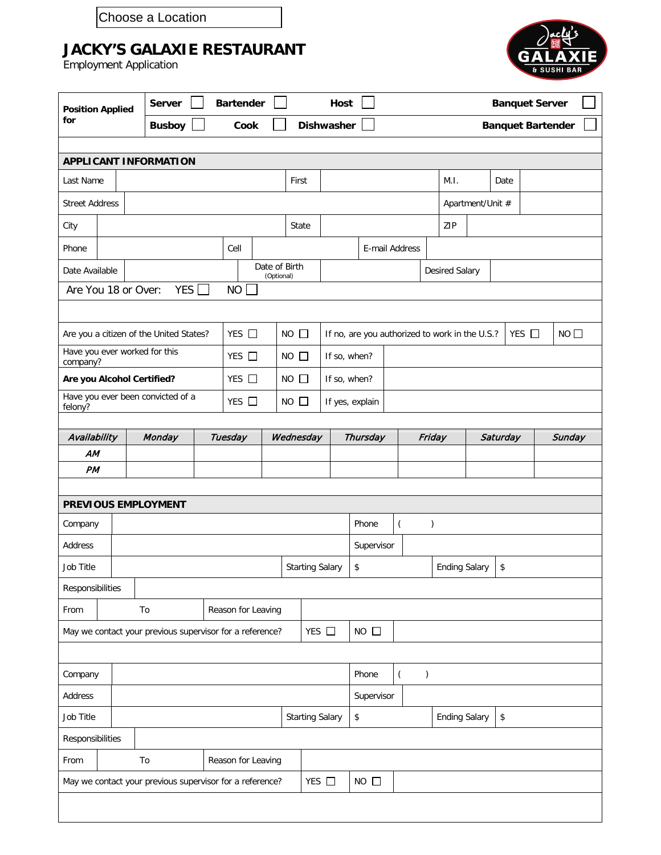Choose a Location

## **JACKY'S GALAXIE RESTAURANT**





| <b>Position Applied</b><br>for                           |                                            | <b>Server</b><br><b>Bartender</b>                |                     |                    | <b>Host</b>            |                        |                   | <b>Banquet Server</b> |                            |        |                                                              |  |                    |  |             |  |
|----------------------------------------------------------|--------------------------------------------|--------------------------------------------------|---------------------|--------------------|------------------------|------------------------|-------------------|-----------------------|----------------------------|--------|--------------------------------------------------------------|--|--------------------|--|-------------|--|
|                                                          |                                            | <b>Busboy</b>                                    |                     | Cook               |                        |                        | <b>Dishwasher</b> |                       | <b>Banquet Bartender</b>   |        |                                                              |  |                    |  |             |  |
|                                                          |                                            |                                                  |                     |                    |                        |                        |                   |                       |                            |        |                                                              |  |                    |  |             |  |
| <b>APPLICANT INFORMATION</b>                             |                                            |                                                  |                     |                    |                        |                        |                   |                       |                            |        |                                                              |  |                    |  |             |  |
| Last Name                                                |                                            |                                                  |                     |                    |                        | First                  |                   |                       |                            |        | M.I.                                                         |  | Date               |  |             |  |
| <b>Street Address</b>                                    |                                            |                                                  |                     |                    |                        |                        |                   |                       | Apartment/Unit #           |        |                                                              |  |                    |  |             |  |
| City                                                     |                                            |                                                  |                     |                    |                        | State                  |                   |                       |                            | ZIP    |                                                              |  |                    |  |             |  |
| Phone<br>Cell                                            |                                            |                                                  |                     |                    |                        |                        | E-mail Address    |                       |                            |        |                                                              |  |                    |  |             |  |
| Date Available                                           |                                            |                                                  |                     |                    | (Optional)             | Date of Birth          |                   |                       |                            |        | <b>Desired Salary</b>                                        |  |                    |  |             |  |
| YES [<br>Are You 18 or Over:<br>NO.                      |                                            |                                                  |                     |                    |                        |                        |                   |                       |                            |        |                                                              |  |                    |  |             |  |
|                                                          |                                            |                                                  |                     |                    |                        |                        |                   |                       |                            |        |                                                              |  |                    |  |             |  |
|                                                          |                                            | YES □<br>Are you a citizen of the United States? |                     |                    |                        | $NO$ $\Box$            |                   |                       |                            |        | YES $\Box$<br>If no, are you authorized to work in the U.S.? |  |                    |  | $NO$ $\Box$ |  |
| Have you ever worked for this<br>company?                |                                            |                                                  | YES $\Box$          |                    | $NO$ $\Box$            |                        | If so, when?      |                       |                            |        |                                                              |  |                    |  |             |  |
| Are you Alcohol Certified?                               |                                            | YES $\Box$                                       | <b>NO</b><br>$\Box$ |                    | If so, when?           |                        |                   |                       |                            |        |                                                              |  |                    |  |             |  |
| Have you ever been convicted of a<br>felony?             |                                            |                                                  |                     | YES □              |                        | $NO$ $\Box$            |                   | If yes, explain       |                            |        |                                                              |  |                    |  |             |  |
| Availability                                             |                                            |                                                  |                     | Tuesday            |                        |                        |                   | <b>Thursday</b>       |                            |        |                                                              |  | Saturday<br>Sunday |  |             |  |
| AM                                                       |                                            | Monday                                           |                     |                    |                        | Wednesday              |                   |                       |                            | Friday |                                                              |  |                    |  |             |  |
| PM                                                       |                                            |                                                  |                     |                    |                        |                        |                   |                       |                            |        |                                                              |  |                    |  |             |  |
|                                                          |                                            |                                                  |                     |                    |                        |                        |                   |                       |                            |        |                                                              |  |                    |  |             |  |
| PREVIOUS EMPLOYMENT                                      |                                            |                                                  |                     |                    |                        |                        |                   |                       |                            |        |                                                              |  |                    |  |             |  |
| Company                                                  | Phone<br>$\overline{(\ }$<br>$\mathcal{E}$ |                                                  |                     |                    |                        |                        |                   |                       |                            |        |                                                              |  |                    |  |             |  |
| <b>Address</b>                                           |                                            | Supervisor                                       |                     |                    |                        |                        |                   |                       |                            |        |                                                              |  |                    |  |             |  |
| Job Title                                                |                                            |                                                  |                     |                    | <b>Starting Salary</b> | \$                     |                   |                       |                            |        | <b>Ending Salary</b><br>\$                                   |  |                    |  |             |  |
| Responsibilities                                         |                                            |                                                  |                     |                    |                        |                        |                   |                       |                            |        |                                                              |  |                    |  |             |  |
| From<br>To<br>Reason for Leaving                         |                                            |                                                  |                     |                    |                        |                        |                   |                       |                            |        |                                                              |  |                    |  |             |  |
| May we contact your previous supervisor for a reference? |                                            |                                                  |                     |                    |                        | YES O                  |                   | $NO$ $\Box$           |                            |        |                                                              |  |                    |  |             |  |
|                                                          |                                            |                                                  |                     |                    |                        |                        |                   |                       |                            |        |                                                              |  |                    |  |             |  |
| Company                                                  |                                            |                                                  |                     |                    |                        |                        |                   | Phone                 |                            |        |                                                              |  |                    |  |             |  |
| Address                                                  |                                            | $\overline{(\ }$<br>$\big)$<br>Supervisor        |                     |                    |                        |                        |                   |                       |                            |        |                                                              |  |                    |  |             |  |
| Job Title                                                |                                            |                                                  |                     |                    |                        | <b>Starting Salary</b> |                   | \$                    | <b>Ending Salary</b><br>\$ |        |                                                              |  |                    |  |             |  |
| Responsibilities                                         |                                            |                                                  |                     |                    |                        |                        |                   |                       |                            |        |                                                              |  |                    |  |             |  |
| From                                                     |                                            | To                                               |                     | Reason for Leaving |                        |                        |                   |                       |                            |        |                                                              |  |                    |  |             |  |
| May we contact your previous supervisor for a reference? |                                            |                                                  |                     |                    |                        | YES □                  |                   | $NO$ $\square$        |                            |        |                                                              |  |                    |  |             |  |
|                                                          |                                            |                                                  |                     |                    |                        |                        |                   |                       |                            |        |                                                              |  |                    |  |             |  |